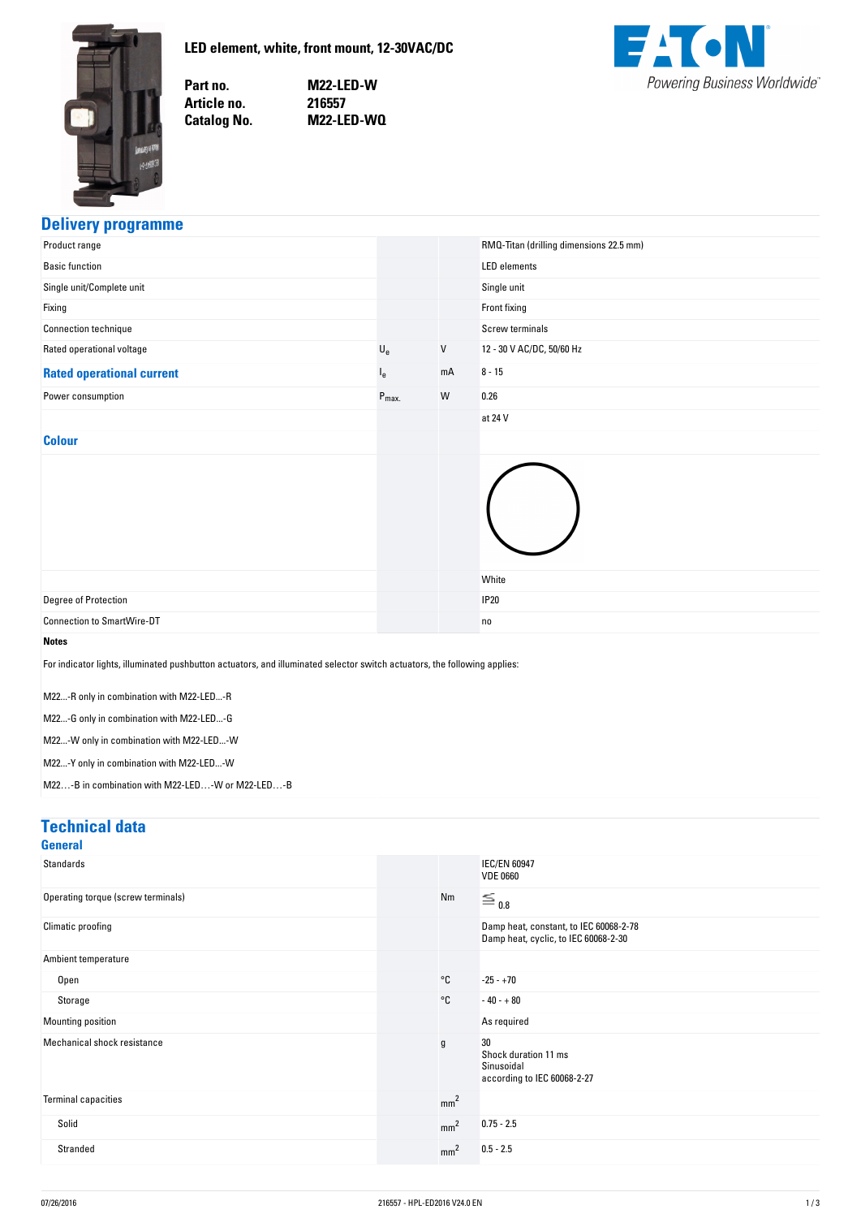<span id="page-0-0"></span>

**LED-element,-white,-front-mount,-12-30VAC/DC**

Part no. Article no. **Catalog No.** 

**no. M22-LED-W no. 216557 No. M22-LED-WQ**



## **Delivery-programme**

| Product range                                                                                                             |                  |    | RMQ-Titan (drilling dimensions 22.5 mm) |
|---------------------------------------------------------------------------------------------------------------------------|------------------|----|-----------------------------------------|
| <b>Basic function</b>                                                                                                     |                  |    | <b>LED</b> elements                     |
| Single unit/Complete unit                                                                                                 |                  |    | Single unit                             |
| Fixing                                                                                                                    |                  |    | Front fixing                            |
| Connection technique                                                                                                      |                  |    | Screw terminals                         |
| Rated operational voltage                                                                                                 | $U_{e}$          | V  | 12 - 30 V AC/DC, 50/60 Hz               |
| <b>Rated operational current</b>                                                                                          | $I_e$            | mA | $8 - 15$                                |
| Power consumption                                                                                                         | $P_{\text{max}}$ | W  | 0.26                                    |
|                                                                                                                           |                  |    | at 24 V                                 |
| <b>Colour</b>                                                                                                             |                  |    |                                         |
| Degree of Protection                                                                                                      |                  |    | White<br><b>IP20</b>                    |
| <b>Connection to SmartWire-DT</b>                                                                                         |                  |    | no                                      |
| <b>Notes</b>                                                                                                              |                  |    |                                         |
| For indicator lights, illuminated pushbutton actuators, and illuminated selector switch actuators, the following applies: |                  |    |                                         |
| M22-R only in combination with M22-LED-R                                                                                  |                  |    |                                         |
| M22-G only in combination with M22-LED-G                                                                                  |                  |    |                                         |
| M22-W only in combination with M22-LED-W                                                                                  |                  |    |                                         |
| M22-Y only in combination with M22-LED-W                                                                                  |                  |    |                                         |
| M22-B in combination with M22-LED-W or M22-LED-B                                                                          |                  |    |                                         |

#### **Technical-data**

| <b>General</b>                     |   |                 |                                                                                |
|------------------------------------|---|-----------------|--------------------------------------------------------------------------------|
| Standards                          |   |                 | <b>IEC/EN 60947</b><br><b>VDE 0660</b>                                         |
| Operating torque (screw terminals) |   | Nm              | $\equiv$ 0.8                                                                   |
| Climatic proofing                  |   |                 | Damp heat, constant, to IEC 60068-2-78<br>Damp heat, cyclic, to IEC 60068-2-30 |
| Ambient temperature                |   |                 |                                                                                |
| Open                               |   | $^{\circ}$ C    | $-25 - +70$                                                                    |
| Storage                            |   | $^{\circ}$ C    | $-40 - +80$                                                                    |
| Mounting position                  |   |                 | As required                                                                    |
| Mechanical shock resistance        | g |                 | 30<br>Shock duration 11 ms<br>Sinusoidal<br>according to IEC 60068-2-27        |
| <b>Terminal capacities</b>         |   | mm <sup>2</sup> |                                                                                |
| Solid                              |   | mm <sup>2</sup> | $0.75 - 2.5$                                                                   |
| Stranded                           |   | mm <sup>2</sup> | $0.5 - 2.5$                                                                    |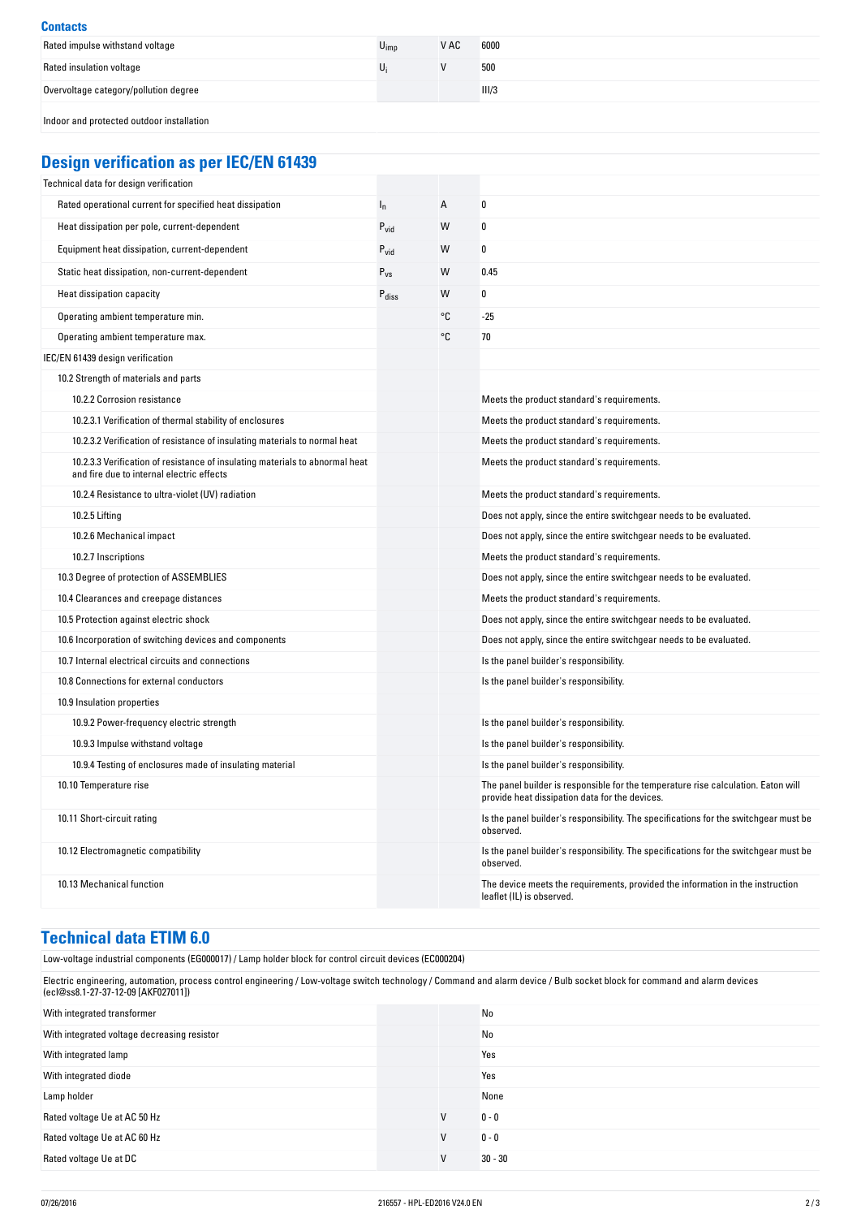#### **Contacts** Rated impulse withstand voltage  $U_{\text{imp}}$   $V$  AC 6000 Rated insulation voltage  $U_i$  500 Overvoltage category/pollution degree III/3 Indoor and protected outdoor installation

# **Design-verification-as-per-IEC/EN-61439**

| Technical data for design verification                                                                                    |                   |    |                                                                                                                                     |
|---------------------------------------------------------------------------------------------------------------------------|-------------------|----|-------------------------------------------------------------------------------------------------------------------------------------|
| Rated operational current for specified heat dissipation                                                                  | $I_{n}$           | A  | 0                                                                                                                                   |
| Heat dissipation per pole, current-dependent                                                                              | $P_{\text{vid}}$  | W  | 0                                                                                                                                   |
| Equipment heat dissipation, current-dependent                                                                             | $P_{\text{vid}}$  | W  | 0                                                                                                                                   |
| Static heat dissipation, non-current-dependent                                                                            | $P_{VS}$          | W  | 0.45                                                                                                                                |
| Heat dissipation capacity                                                                                                 | $P_{\text{diss}}$ | W  | 0                                                                                                                                   |
| Operating ambient temperature min.                                                                                        |                   | °C | $-25$                                                                                                                               |
| Operating ambient temperature max.                                                                                        |                   | °C | 70                                                                                                                                  |
| IEC/EN 61439 design verification                                                                                          |                   |    |                                                                                                                                     |
| 10.2 Strength of materials and parts                                                                                      |                   |    |                                                                                                                                     |
| 10.2.2 Corrosion resistance                                                                                               |                   |    | Meets the product standard's requirements.                                                                                          |
| 10.2.3.1 Verification of thermal stability of enclosures                                                                  |                   |    | Meets the product standard's requirements.                                                                                          |
| 10.2.3.2 Verification of resistance of insulating materials to normal heat                                                |                   |    | Meets the product standard's requirements.                                                                                          |
| 10.2.3.3 Verification of resistance of insulating materials to abnormal heat<br>and fire due to internal electric effects |                   |    | Meets the product standard's requirements.                                                                                          |
| 10.2.4 Resistance to ultra-violet (UV) radiation                                                                          |                   |    | Meets the product standard's requirements.                                                                                          |
| 10.2.5 Lifting                                                                                                            |                   |    | Does not apply, since the entire switchgear needs to be evaluated.                                                                  |
| 10.2.6 Mechanical impact                                                                                                  |                   |    | Does not apply, since the entire switchgear needs to be evaluated.                                                                  |
| 10.2.7 Inscriptions                                                                                                       |                   |    | Meets the product standard's requirements.                                                                                          |
| 10.3 Degree of protection of ASSEMBLIES                                                                                   |                   |    | Does not apply, since the entire switchgear needs to be evaluated.                                                                  |
| 10.4 Clearances and creepage distances                                                                                    |                   |    | Meets the product standard's requirements.                                                                                          |
| 10.5 Protection against electric shock                                                                                    |                   |    | Does not apply, since the entire switchgear needs to be evaluated.                                                                  |
| 10.6 Incorporation of switching devices and components                                                                    |                   |    | Does not apply, since the entire switchgear needs to be evaluated.                                                                  |
| 10.7 Internal electrical circuits and connections                                                                         |                   |    | Is the panel builder's responsibility.                                                                                              |
| 10.8 Connections for external conductors                                                                                  |                   |    | Is the panel builder's responsibility.                                                                                              |
| 10.9 Insulation properties                                                                                                |                   |    |                                                                                                                                     |
| 10.9.2 Power-frequency electric strength                                                                                  |                   |    | Is the panel builder's responsibility.                                                                                              |
| 10.9.3 Impulse withstand voltage                                                                                          |                   |    | Is the panel builder's responsibility.                                                                                              |
| 10.9.4 Testing of enclosures made of insulating material                                                                  |                   |    | Is the panel builder's responsibility.                                                                                              |
| 10.10 Temperature rise                                                                                                    |                   |    | The panel builder is responsible for the temperature rise calculation. Eaton will<br>provide heat dissipation data for the devices. |
| 10.11 Short-circuit rating                                                                                                |                   |    | Is the panel builder's responsibility. The specifications for the switchgear must be<br>observed.                                   |
| 10.12 Electromagnetic compatibility                                                                                       |                   |    | Is the panel builder's responsibility. The specifications for the switchgear must be<br>observed.                                   |
| 10.13 Mechanical function                                                                                                 |                   |    | The device meets the requirements, provided the information in the instruction<br>leaflet (IL) is observed.                         |

## **Technical-data-ETIM-6.0**

| Low-voltage industrial components (EG000017) / Lamp holder block for control circuit devices (EC000204)                                                                                                           |  |   |           |
|-------------------------------------------------------------------------------------------------------------------------------------------------------------------------------------------------------------------|--|---|-----------|
| Electric engineering, automation, process control engineering / Low-voltage switch technology / Command and alarm device / Bulb socket block for command and alarm devices<br>(ecl@ss8.1-27-37-12-09 [AKF027011]) |  |   |           |
| With integrated transformer                                                                                                                                                                                       |  |   | No        |
| With integrated voltage decreasing resistor                                                                                                                                                                       |  |   | No        |
| With integrated lamp                                                                                                                                                                                              |  |   | Yes       |
| With integrated diode                                                                                                                                                                                             |  |   | Yes       |
| Lamp holder                                                                                                                                                                                                       |  |   | None      |
| Rated voltage Ue at AC 50 Hz                                                                                                                                                                                      |  | V | $0 - 0$   |
| Rated voltage Ue at AC 60 Hz                                                                                                                                                                                      |  | v | $0 - 0$   |
| Rated voltage Ue at DC                                                                                                                                                                                            |  | V | $30 - 30$ |